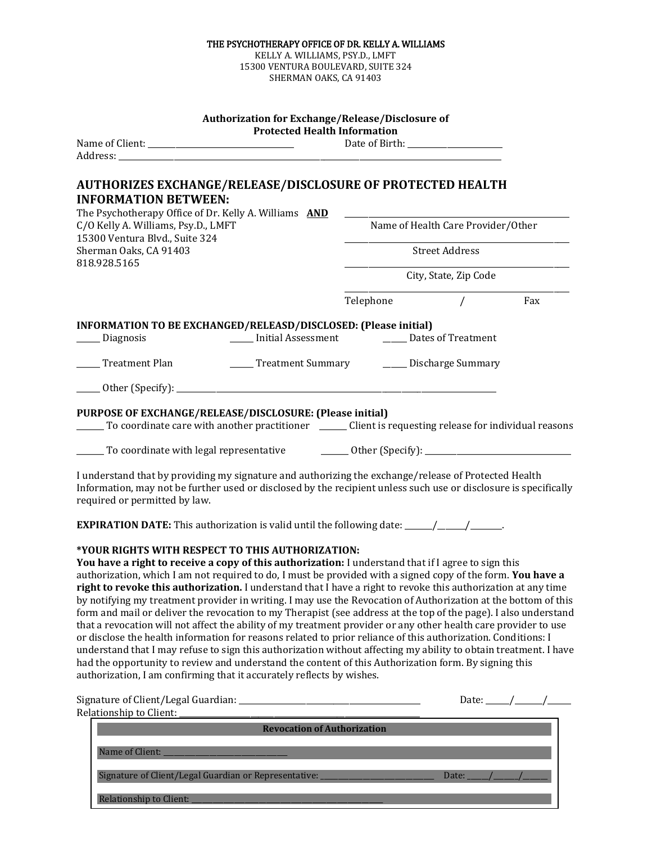| KELLY A. WILLIAMS, PSY.D., LMFT<br>15300 VENTURA BOULEVARD, SUITE 324<br>SHERMAN OAKS, CA 91403                                                                                                                                                                                                                                                                                                                                                                                                                                                                                                                                                                                                                                                                                                                                                                                                                                                                                                                                                                                                                                                                       |                                                   |  |
|-----------------------------------------------------------------------------------------------------------------------------------------------------------------------------------------------------------------------------------------------------------------------------------------------------------------------------------------------------------------------------------------------------------------------------------------------------------------------------------------------------------------------------------------------------------------------------------------------------------------------------------------------------------------------------------------------------------------------------------------------------------------------------------------------------------------------------------------------------------------------------------------------------------------------------------------------------------------------------------------------------------------------------------------------------------------------------------------------------------------------------------------------------------------------|---------------------------------------------------|--|
|                                                                                                                                                                                                                                                                                                                                                                                                                                                                                                                                                                                                                                                                                                                                                                                                                                                                                                                                                                                                                                                                                                                                                                       |                                                   |  |
| <b>Authorization for Exchange/Release/Disclosure of</b><br><b>Protected Health Information</b>                                                                                                                                                                                                                                                                                                                                                                                                                                                                                                                                                                                                                                                                                                                                                                                                                                                                                                                                                                                                                                                                        |                                                   |  |
|                                                                                                                                                                                                                                                                                                                                                                                                                                                                                                                                                                                                                                                                                                                                                                                                                                                                                                                                                                                                                                                                                                                                                                       | Date of Birth: _________________                  |  |
|                                                                                                                                                                                                                                                                                                                                                                                                                                                                                                                                                                                                                                                                                                                                                                                                                                                                                                                                                                                                                                                                                                                                                                       |                                                   |  |
| <b>AUTHORIZES EXCHANGE/RELEASE/DISCLOSURE OF PROTECTED HEALTH</b><br><b>INFORMATION BETWEEN:</b><br>The Psychotherapy Office of Dr. Kelly A. Williams AND                                                                                                                                                                                                                                                                                                                                                                                                                                                                                                                                                                                                                                                                                                                                                                                                                                                                                                                                                                                                             |                                                   |  |
| C/O Kelly A. Williams, Psy.D., LMFT                                                                                                                                                                                                                                                                                                                                                                                                                                                                                                                                                                                                                                                                                                                                                                                                                                                                                                                                                                                                                                                                                                                                   | Name of Health Care Provider/Other                |  |
| 15300 Ventura Blvd., Suite 324<br>Sherman Oaks, CA 91403                                                                                                                                                                                                                                                                                                                                                                                                                                                                                                                                                                                                                                                                                                                                                                                                                                                                                                                                                                                                                                                                                                              | Street Address                                    |  |
| 818.928.5165                                                                                                                                                                                                                                                                                                                                                                                                                                                                                                                                                                                                                                                                                                                                                                                                                                                                                                                                                                                                                                                                                                                                                          | City, State, Zip Code                             |  |
|                                                                                                                                                                                                                                                                                                                                                                                                                                                                                                                                                                                                                                                                                                                                                                                                                                                                                                                                                                                                                                                                                                                                                                       | $\sqrt{ }$<br>Telephone<br>Fax                    |  |
| INFORMATION TO BE EXCHANGED/RELEASD/DISCLOSED: (Please initial)                                                                                                                                                                                                                                                                                                                                                                                                                                                                                                                                                                                                                                                                                                                                                                                                                                                                                                                                                                                                                                                                                                       |                                                   |  |
| _____ Initial Assessment __________ Dates of Treatment<br>__ Diagnosis                                                                                                                                                                                                                                                                                                                                                                                                                                                                                                                                                                                                                                                                                                                                                                                                                                                                                                                                                                                                                                                                                                |                                                   |  |
| _____ Treatment Plan                                                                                                                                                                                                                                                                                                                                                                                                                                                                                                                                                                                                                                                                                                                                                                                                                                                                                                                                                                                                                                                                                                                                                  | _____ Treatment Summary _______ Discharge Summary |  |
|                                                                                                                                                                                                                                                                                                                                                                                                                                                                                                                                                                                                                                                                                                                                                                                                                                                                                                                                                                                                                                                                                                                                                                       |                                                   |  |
| PURPOSE OF EXCHANGE/RELEASE/DISCLOSURE: (Please initial)<br>To coordinate care with another practitioner ________ Client is requesting release for individual reasons                                                                                                                                                                                                                                                                                                                                                                                                                                                                                                                                                                                                                                                                                                                                                                                                                                                                                                                                                                                                 |                                                   |  |
|                                                                                                                                                                                                                                                                                                                                                                                                                                                                                                                                                                                                                                                                                                                                                                                                                                                                                                                                                                                                                                                                                                                                                                       |                                                   |  |
| I understand that by providing my signature and authorizing the exchange/release of Protected Health<br>Information, may not be further used or disclosed by the recipient unless such use or disclosure is specifically<br>required or permitted by law.                                                                                                                                                                                                                                                                                                                                                                                                                                                                                                                                                                                                                                                                                                                                                                                                                                                                                                             |                                                   |  |
| <b>EXPIRATION DATE:</b> This authorization is valid until the following date: _______________________.                                                                                                                                                                                                                                                                                                                                                                                                                                                                                                                                                                                                                                                                                                                                                                                                                                                                                                                                                                                                                                                                |                                                   |  |
| *YOUR RIGHTS WITH RESPECT TO THIS AUTHORIZATION:<br>You have a right to receive a copy of this authorization: I understand that if I agree to sign this<br>authorization, which I am not required to do, I must be provided with a signed copy of the form. You have a<br>right to revoke this authorization. I understand that I have a right to revoke this authorization at any time<br>by notifying my treatment provider in writing. I may use the Revocation of Authorization at the bottom of this<br>form and mail or deliver the revocation to my Therapist (see address at the top of the page). I also understand<br>that a revocation will not affect the ability of my treatment provider or any other health care provider to use<br>or disclose the health information for reasons related to prior reliance of this authorization. Conditions: I<br>understand that I may refuse to sign this authorization without affecting my ability to obtain treatment. I have<br>had the opportunity to review and understand the content of this Authorization form. By signing this<br>authorization, I am confirming that it accurately reflects by wishes. |                                                   |  |
| Relationship to Client:                                                                                                                                                                                                                                                                                                                                                                                                                                                                                                                                                                                                                                                                                                                                                                                                                                                                                                                                                                                                                                                                                                                                               | Date: _____/______/_                              |  |
| <b>Revocation of Authorization</b>                                                                                                                                                                                                                                                                                                                                                                                                                                                                                                                                                                                                                                                                                                                                                                                                                                                                                                                                                                                                                                                                                                                                    |                                                   |  |
| Name of Client: _                                                                                                                                                                                                                                                                                                                                                                                                                                                                                                                                                                                                                                                                                                                                                                                                                                                                                                                                                                                                                                                                                                                                                     |                                                   |  |
| Signature of Client/Legal Guardian or Representative:                                                                                                                                                                                                                                                                                                                                                                                                                                                                                                                                                                                                                                                                                                                                                                                                                                                                                                                                                                                                                                                                                                                 | Date:                                             |  |
| <b>Relationship to Client:</b>                                                                                                                                                                                                                                                                                                                                                                                                                                                                                                                                                                                                                                                                                                                                                                                                                                                                                                                                                                                                                                                                                                                                        |                                                   |  |

THE PSYCHOTHERAPY OFFICE OF DR. KELLY A. WILLIAMS